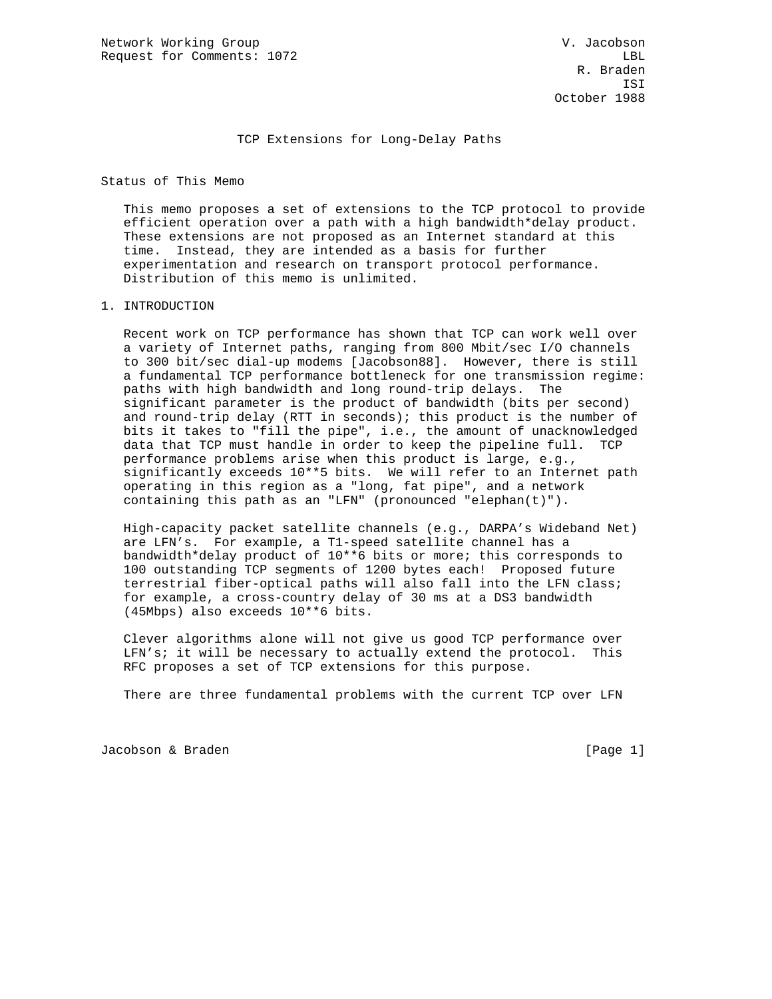TCP Extensions for Long-Delay Paths

Status of This Memo

 This memo proposes a set of extensions to the TCP protocol to provide efficient operation over a path with a high bandwidth\*delay product. These extensions are not proposed as an Internet standard at this time. Instead, they are intended as a basis for further experimentation and research on transport protocol performance. Distribution of this memo is unlimited.

#### 1. INTRODUCTION

 Recent work on TCP performance has shown that TCP can work well over a variety of Internet paths, ranging from 800 Mbit/sec I/O channels to 300 bit/sec dial-up modems [Jacobson88]. However, there is still a fundamental TCP performance bottleneck for one transmission regime: paths with high bandwidth and long round-trip delays. The significant parameter is the product of bandwidth (bits per second) and round-trip delay (RTT in seconds); this product is the number of bits it takes to "fill the pipe", i.e., the amount of unacknowledged data that TCP must handle in order to keep the pipeline full. TCP performance problems arise when this product is large, e.g., significantly exceeds 10\*\*5 bits. We will refer to an Internet path operating in this region as a "long, fat pipe", and a network containing this path as an "LFN" (pronounced "elephan(t)").

 High-capacity packet satellite channels (e.g., DARPA's Wideband Net) are LFN's. For example, a T1-speed satellite channel has a bandwidth\*delay product of 10\*\*6 bits or more; this corresponds to 100 outstanding TCP segments of 1200 bytes each! Proposed future terrestrial fiber-optical paths will also fall into the LFN class; for example, a cross-country delay of 30 ms at a DS3 bandwidth (45Mbps) also exceeds 10\*\*6 bits.

 Clever algorithms alone will not give us good TCP performance over LFN's; it will be necessary to actually extend the protocol. This RFC proposes a set of TCP extensions for this purpose.

There are three fundamental problems with the current TCP over LFN

Jacobson & Braden in the contract of the contract of the contract of the contract of the contract of the contract of the contract of the contract of the contract of the contract of the contract of the contract of the contr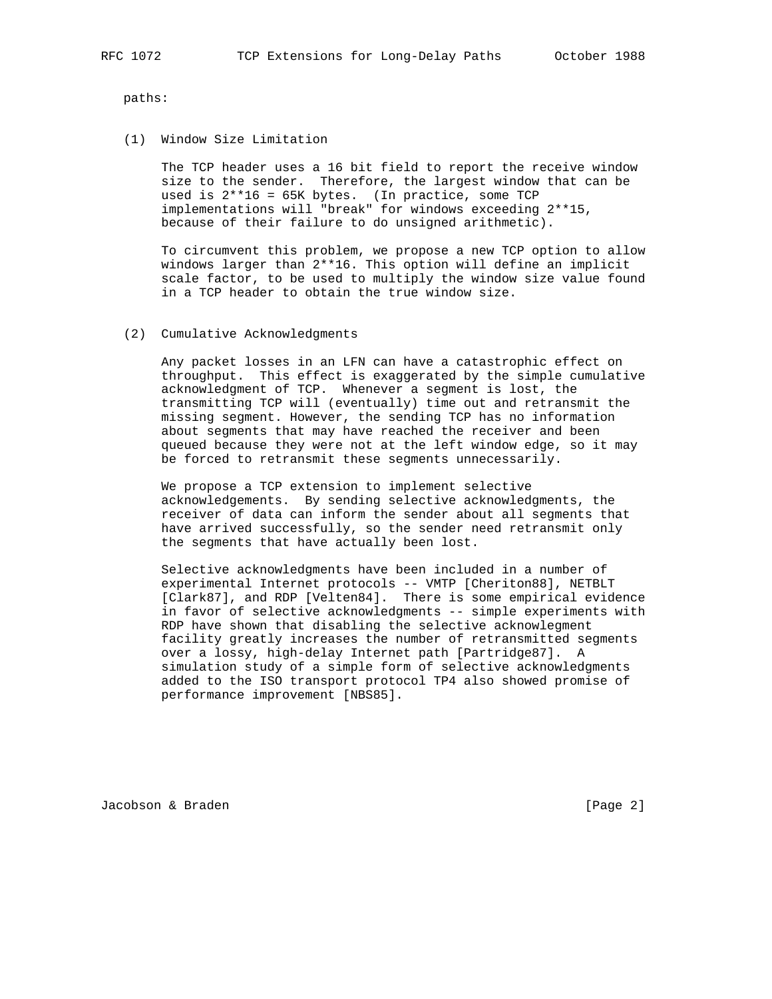paths:

(1) Window Size Limitation

 The TCP header uses a 16 bit field to report the receive window size to the sender. Therefore, the largest window that can be used is  $2**16 = 65K$  bytes. (In practice, some TCP implementations will "break" for windows exceeding 2\*\*15, because of their failure to do unsigned arithmetic).

 To circumvent this problem, we propose a new TCP option to allow windows larger than 2\*\*16. This option will define an implicit scale factor, to be used to multiply the window size value found in a TCP header to obtain the true window size.

(2) Cumulative Acknowledgments

 Any packet losses in an LFN can have a catastrophic effect on throughput. This effect is exaggerated by the simple cumulative acknowledgment of TCP. Whenever a segment is lost, the transmitting TCP will (eventually) time out and retransmit the missing segment. However, the sending TCP has no information about segments that may have reached the receiver and been queued because they were not at the left window edge, so it may be forced to retransmit these segments unnecessarily.

 We propose a TCP extension to implement selective acknowledgements. By sending selective acknowledgments, the receiver of data can inform the sender about all segments that have arrived successfully, so the sender need retransmit only the segments that have actually been lost.

 Selective acknowledgments have been included in a number of experimental Internet protocols -- VMTP [Cheriton88], NETBLT [Clark87], and RDP [Velten84]. There is some empirical evidence in favor of selective acknowledgments -- simple experiments with RDP have shown that disabling the selective acknowlegment facility greatly increases the number of retransmitted segments over a lossy, high-delay Internet path [Partridge87]. A simulation study of a simple form of selective acknowledgments added to the ISO transport protocol TP4 also showed promise of performance improvement [NBS85].

Jacobson & Braden [Page 2]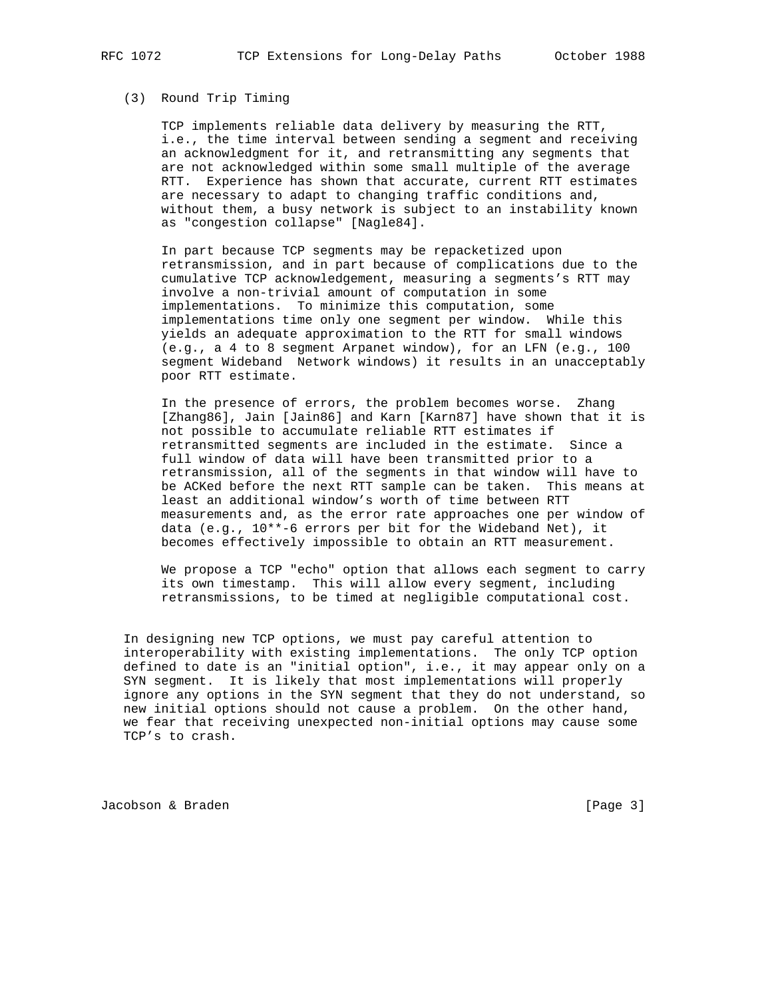#### (3) Round Trip Timing

 TCP implements reliable data delivery by measuring the RTT, i.e., the time interval between sending a segment and receiving an acknowledgment for it, and retransmitting any segments that are not acknowledged within some small multiple of the average RTT. Experience has shown that accurate, current RTT estimates are necessary to adapt to changing traffic conditions and, without them, a busy network is subject to an instability known as "congestion collapse" [Nagle84].

 In part because TCP segments may be repacketized upon retransmission, and in part because of complications due to the cumulative TCP acknowledgement, measuring a segments's RTT may involve a non-trivial amount of computation in some implementations. To minimize this computation, some implementations time only one segment per window. While this yields an adequate approximation to the RTT for small windows (e.g., a 4 to 8 segment Arpanet window), for an LFN (e.g., 100 segment Wideband Network windows) it results in an unacceptably poor RTT estimate.

 In the presence of errors, the problem becomes worse. Zhang [Zhang86], Jain [Jain86] and Karn [Karn87] have shown that it is not possible to accumulate reliable RTT estimates if retransmitted segments are included in the estimate. Since a full window of data will have been transmitted prior to a retransmission, all of the segments in that window will have to be ACKed before the next RTT sample can be taken. This means at least an additional window's worth of time between RTT measurements and, as the error rate approaches one per window of data (e.g., 10\*\*-6 errors per bit for the Wideband Net), it becomes effectively impossible to obtain an RTT measurement.

 We propose a TCP "echo" option that allows each segment to carry its own timestamp. This will allow every segment, including retransmissions, to be timed at negligible computational cost.

 In designing new TCP options, we must pay careful attention to interoperability with existing implementations. The only TCP option defined to date is an "initial option", i.e., it may appear only on a SYN segment. It is likely that most implementations will properly ignore any options in the SYN segment that they do not understand, so new initial options should not cause a problem. On the other hand, we fear that receiving unexpected non-initial options may cause some TCP's to crash.

Jacobson & Braden **by Example 2018** [Page 3]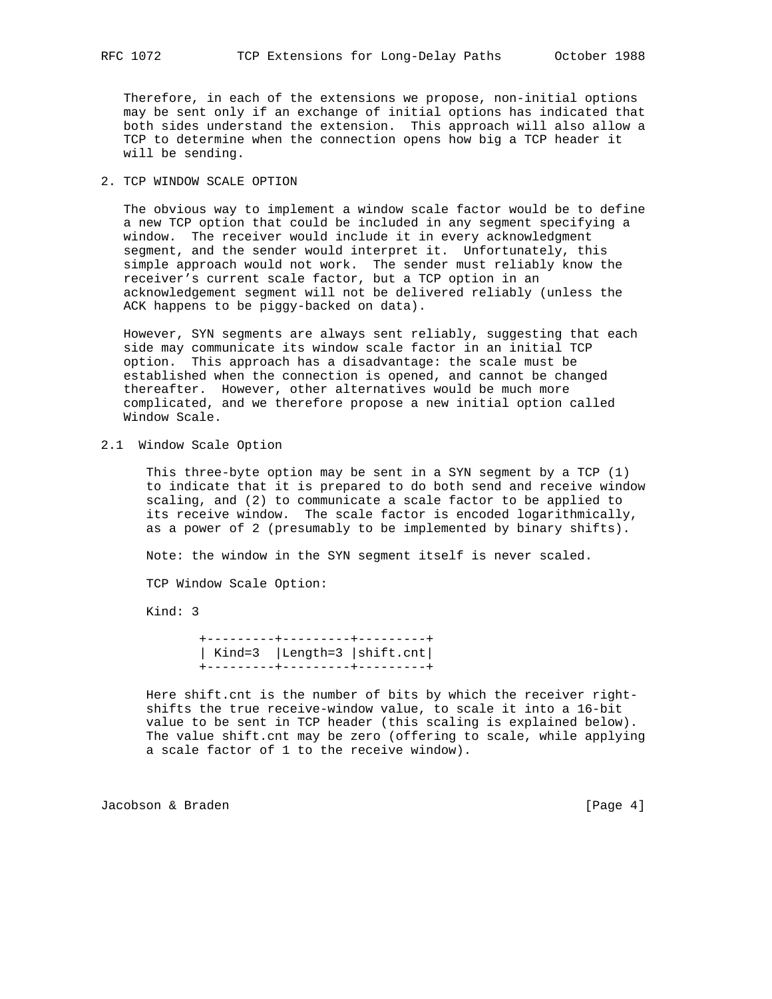Therefore, in each of the extensions we propose, non-initial options may be sent only if an exchange of initial options has indicated that both sides understand the extension. This approach will also allow a TCP to determine when the connection opens how big a TCP header it will be sending.

# 2. TCP WINDOW SCALE OPTION

 The obvious way to implement a window scale factor would be to define a new TCP option that could be included in any segment specifying a window. The receiver would include it in every acknowledgment segment, and the sender would interpret it. Unfortunately, this simple approach would not work. The sender must reliably know the receiver's current scale factor, but a TCP option in an acknowledgement segment will not be delivered reliably (unless the ACK happens to be piggy-backed on data).

 However, SYN segments are always sent reliably, suggesting that each side may communicate its window scale factor in an initial TCP option. This approach has a disadvantage: the scale must be established when the connection is opened, and cannot be changed thereafter. However, other alternatives would be much more complicated, and we therefore propose a new initial option called Window Scale.

2.1 Window Scale Option

 This three-byte option may be sent in a SYN segment by a TCP (1) to indicate that it is prepared to do both send and receive window scaling, and (2) to communicate a scale factor to be applied to its receive window. The scale factor is encoded logarithmically, as a power of 2 (presumably to be implemented by binary shifts).

Note: the window in the SYN segment itself is never scaled.

TCP Window Scale Option:

Kind: 3

 +---------+---------+---------+ | Kind=3 |Length=3 |shift.cnt| +---------+---------+---------+

 Here shift.cnt is the number of bits by which the receiver right shifts the true receive-window value, to scale it into a 16-bit value to be sent in TCP header (this scaling is explained below). The value shift.cnt may be zero (offering to scale, while applying a scale factor of 1 to the receive window).

Jacobson & Braden [Page 4]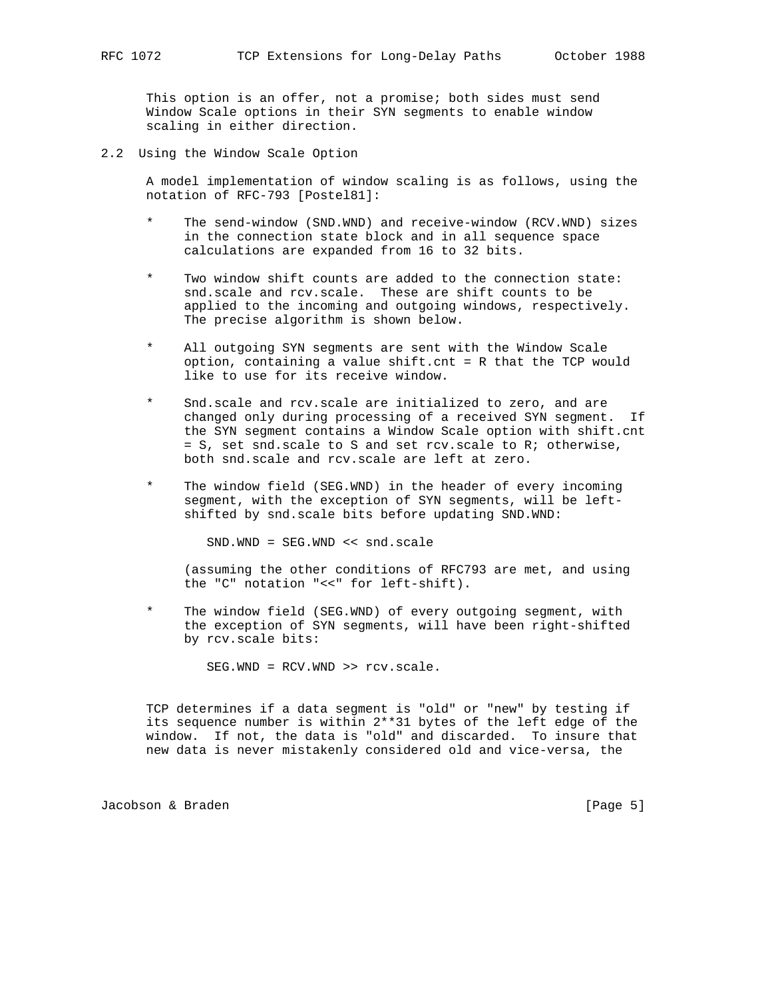This option is an offer, not a promise; both sides must send Window Scale options in their SYN segments to enable window scaling in either direction.

2.2 Using the Window Scale Option

 A model implementation of window scaling is as follows, using the notation of RFC-793 [Postel81]:

- \* The send-window (SND.WND) and receive-window (RCV.WND) sizes in the connection state block and in all sequence space calculations are expanded from 16 to 32 bits.
- Two window shift counts are added to the connection state: snd.scale and rcv.scale. These are shift counts to be applied to the incoming and outgoing windows, respectively. The precise algorithm is shown below.
- All outgoing SYN segments are sent with the Window Scale option, containing a value shift.cnt = R that the TCP would like to use for its receive window.
- Snd.scale and rcv.scale are initialized to zero, and are changed only during processing of a received SYN segment. If the SYN segment contains a Window Scale option with shift.cnt = S, set snd.scale to S and set rcv.scale to R; otherwise, both snd.scale and rcv.scale are left at zero.
- \* The window field (SEG.WND) in the header of every incoming segment, with the exception of SYN segments, will be left shifted by snd.scale bits before updating SND.WND:

SND.WND = SEG.WND << snd.scale

 (assuming the other conditions of RFC793 are met, and using the "C" notation "<<" for left-shift).

The window field (SEG.WND) of every outgoing segment, with the exception of SYN segments, will have been right-shifted by rcv.scale bits:

SEG.WND = RCV.WND >> rcv.scale.

 TCP determines if a data segment is "old" or "new" by testing if its sequence number is within 2\*\*31 bytes of the left edge of the window. If not, the data is "old" and discarded. To insure that new data is never mistakenly considered old and vice-versa, the

Jacobson & Braden [Page 5]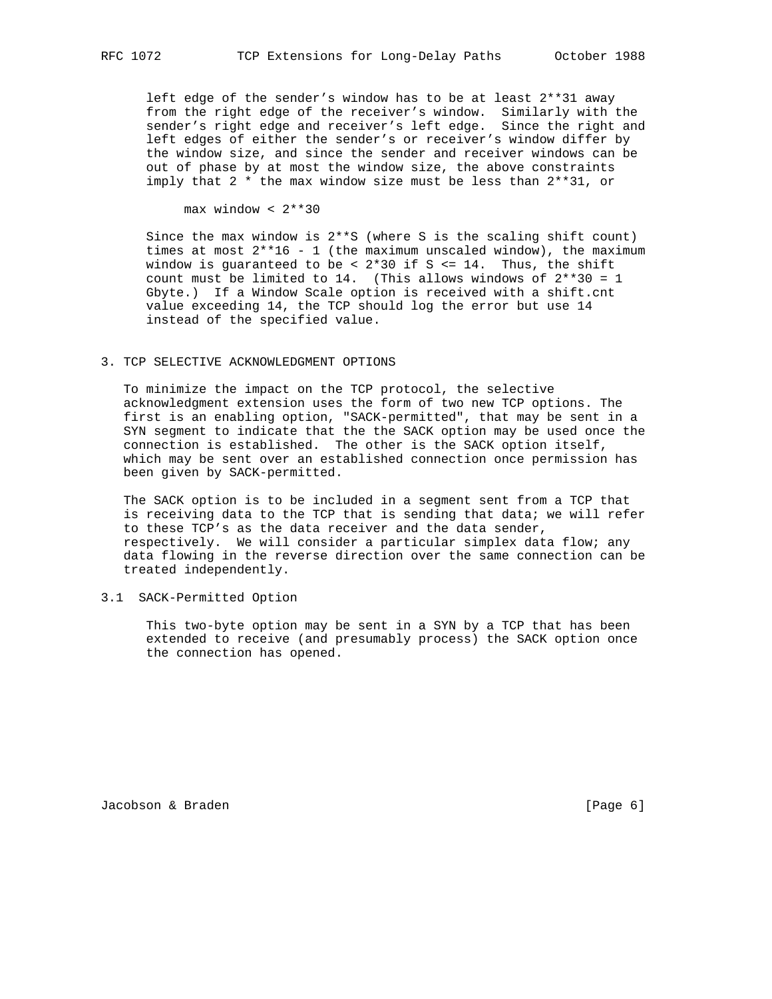left edge of the sender's window has to be at least 2\*\*31 away from the right edge of the receiver's window. Similarly with the sender's right edge and receiver's left edge. Since the right and left edges of either the sender's or receiver's window differ by the window size, and since the sender and receiver windows can be out of phase by at most the window size, the above constraints imply that 2 \* the max window size must be less than 2\*\*31, or

max window < 2\*\*30

Since the max window is  $2***S$  (where S is the scaling shift count) times at most 2\*\*16 - 1 (the maximum unscaled window), the maximum window is guaranteed to be <  $2*30$  if S <= 14. Thus, the shift count must be limited to 14. (This allows windows of  $2**30 = 1$  Gbyte.) If a Window Scale option is received with a shift.cnt value exceeding 14, the TCP should log the error but use 14 instead of the specified value.

#### 3. TCP SELECTIVE ACKNOWLEDGMENT OPTIONS

 To minimize the impact on the TCP protocol, the selective acknowledgment extension uses the form of two new TCP options. The first is an enabling option, "SACK-permitted", that may be sent in a SYN segment to indicate that the the SACK option may be used once the connection is established. The other is the SACK option itself, which may be sent over an established connection once permission has been given by SACK-permitted.

 The SACK option is to be included in a segment sent from a TCP that is receiving data to the TCP that is sending that data; we will refer to these TCP's as the data receiver and the data sender, respectively. We will consider a particular simplex data flow; any data flowing in the reverse direction over the same connection can be treated independently.

## 3.1 SACK-Permitted Option

 This two-byte option may be sent in a SYN by a TCP that has been extended to receive (and presumably process) the SACK option once the connection has opened.

Jacobson & Braden **by Community Community Community** (Page 6)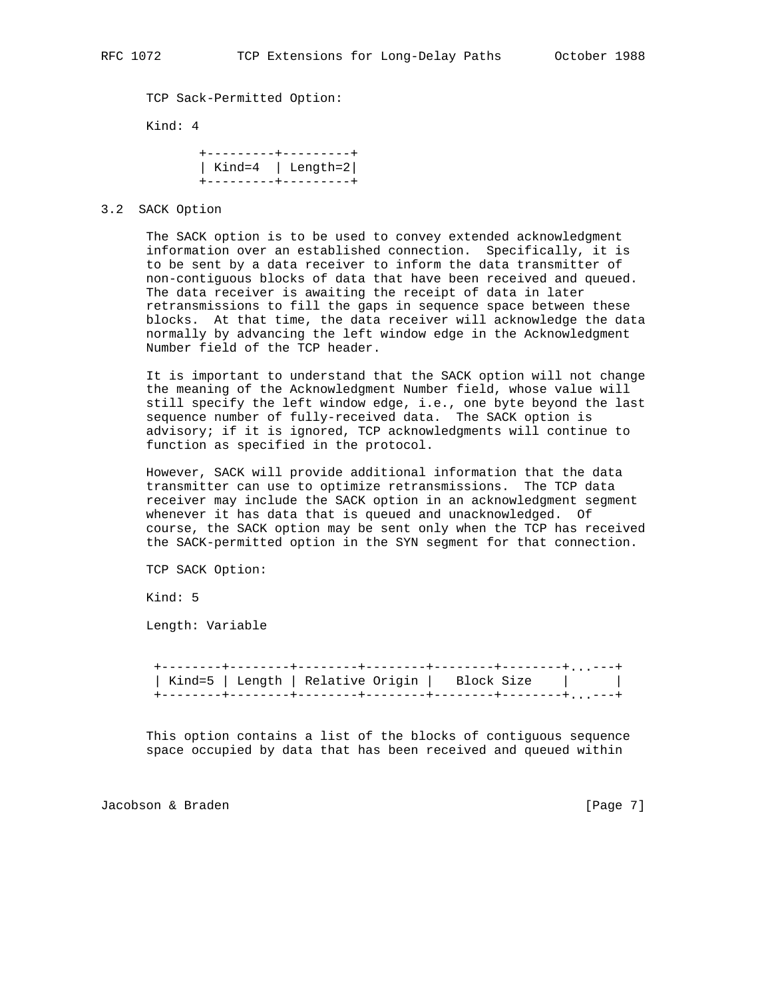TCP Sack-Permitted Option:

Kind: 4

|  | +---------+---------+ |
|--|-----------------------|
|  | Kind=4 $ $ Length=2   |
|  | +---------+---------+ |

### 3.2 SACK Option

 The SACK option is to be used to convey extended acknowledgment information over an established connection. Specifically, it is to be sent by a data receiver to inform the data transmitter of non-contiguous blocks of data that have been received and queued. The data receiver is awaiting the receipt of data in later retransmissions to fill the gaps in sequence space between these blocks. At that time, the data receiver will acknowledge the data normally by advancing the left window edge in the Acknowledgment Number field of the TCP header.

 It is important to understand that the SACK option will not change the meaning of the Acknowledgment Number field, whose value will still specify the left window edge, i.e., one byte beyond the last sequence number of fully-received data. The SACK option is advisory; if it is ignored, TCP acknowledgments will continue to function as specified in the protocol.

 However, SACK will provide additional information that the data transmitter can use to optimize retransmissions. The TCP data receiver may include the SACK option in an acknowledgment segment whenever it has data that is queued and unacknowledged. Of course, the SACK option may be sent only when the TCP has received the SACK-permitted option in the SYN segment for that connection.

TCP SACK Option:

Kind: 5

Length: Variable

 +--------+--------+--------+--------+--------+--------+...---+ | Kind=5 | Length | Relative Origin | Block Size | | +--------+--------+--------+--------+--------+--------+...---+

 This option contains a list of the blocks of contiguous sequence space occupied by data that has been received and queued within

Jacobson & Braden **by Community Community Community** (Page 7)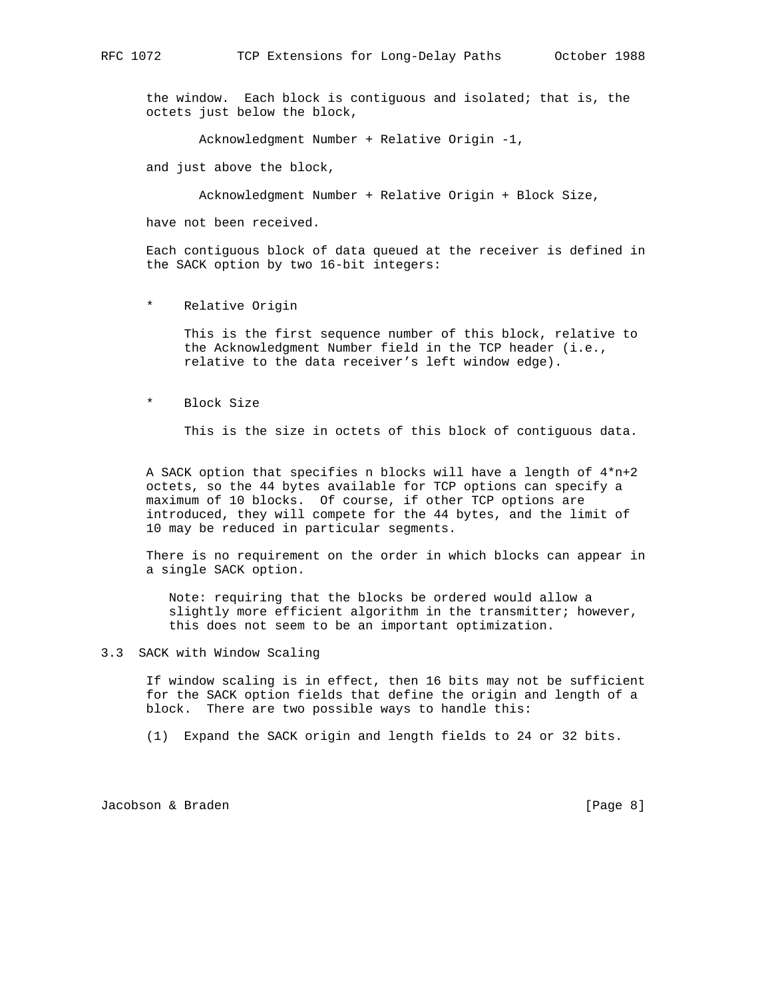the window. Each block is contiguous and isolated; that is, the octets just below the block,

Acknowledgment Number + Relative Origin -1,

and just above the block,

Acknowledgment Number + Relative Origin + Block Size,

have not been received.

 Each contiguous block of data queued at the receiver is defined in the SACK option by two 16-bit integers:

\* Relative Origin

 This is the first sequence number of this block, relative to the Acknowledgment Number field in the TCP header (i.e., relative to the data receiver's left window edge).

\* Block Size

This is the size in octets of this block of contiguous data.

 A SACK option that specifies n blocks will have a length of 4\*n+2 octets, so the 44 bytes available for TCP options can specify a maximum of 10 blocks. Of course, if other TCP options are introduced, they will compete for the 44 bytes, and the limit of 10 may be reduced in particular segments.

 There is no requirement on the order in which blocks can appear in a single SACK option.

 Note: requiring that the blocks be ordered would allow a slightly more efficient algorithm in the transmitter; however, this does not seem to be an important optimization.

### 3.3 SACK with Window Scaling

 If window scaling is in effect, then 16 bits may not be sufficient for the SACK option fields that define the origin and length of a block. There are two possible ways to handle this:

(1) Expand the SACK origin and length fields to 24 or 32 bits.

Jacobson & Braden [Page 8]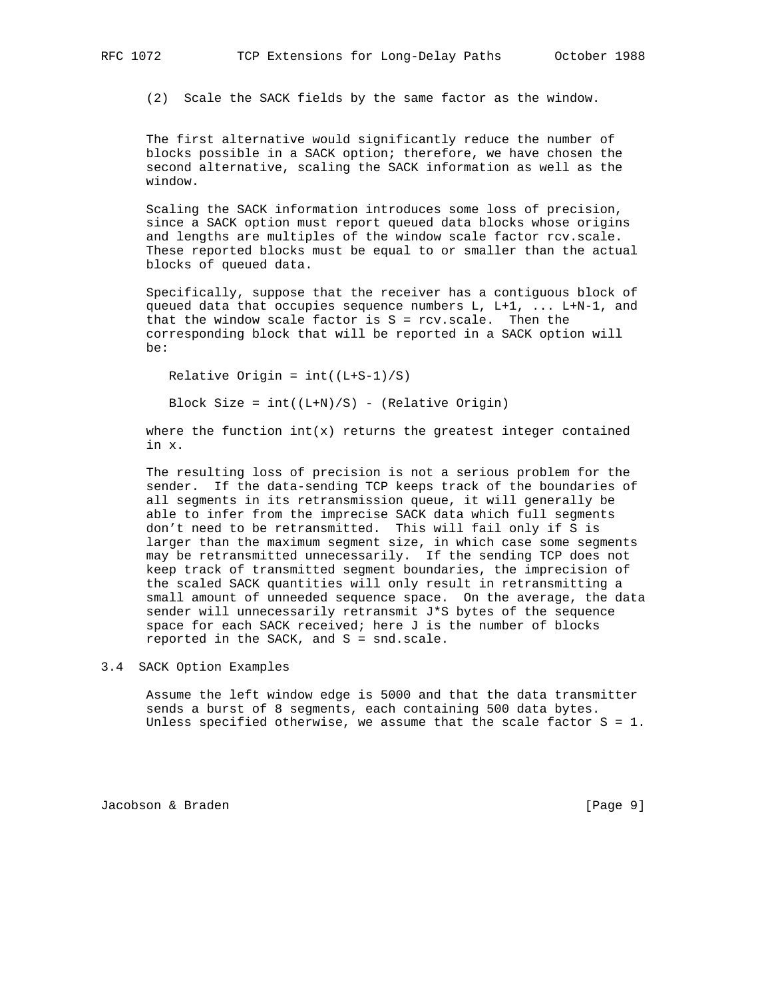(2) Scale the SACK fields by the same factor as the window.

 The first alternative would significantly reduce the number of blocks possible in a SACK option; therefore, we have chosen the second alternative, scaling the SACK information as well as the window.

 Scaling the SACK information introduces some loss of precision, since a SACK option must report queued data blocks whose origins and lengths are multiples of the window scale factor rcv.scale. These reported blocks must be equal to or smaller than the actual blocks of queued data.

 Specifically, suppose that the receiver has a contiguous block of queued data that occupies sequence numbers L, L+1, ... L+N-1, and that the window scale factor is  $S = rcv.scale$ . Then the corresponding block that will be reported in a SACK option will be:

Relative Origin =  $int((L+S-1)/S)$ 

Block Size =  $int((L+N)/S)$  - (Relative Origin)

where the function  $int(x)$  returns the greatest integer contained in x.

 The resulting loss of precision is not a serious problem for the sender. If the data-sending TCP keeps track of the boundaries of all segments in its retransmission queue, it will generally be able to infer from the imprecise SACK data which full segments don't need to be retransmitted. This will fail only if S is larger than the maximum segment size, in which case some segments may be retransmitted unnecessarily. If the sending TCP does not keep track of transmitted segment boundaries, the imprecision of the scaled SACK quantities will only result in retransmitting a small amount of unneeded sequence space. On the average, the data sender will unnecessarily retransmit J\*S bytes of the sequence space for each SACK received; here J is the number of blocks reported in the SACK, and S = snd.scale.

# 3.4 SACK Option Examples

 Assume the left window edge is 5000 and that the data transmitter sends a burst of 8 segments, each containing 500 data bytes. Unless specified otherwise, we assume that the scale factor  $S = 1$ .

Jacobson & Braden [Page 9]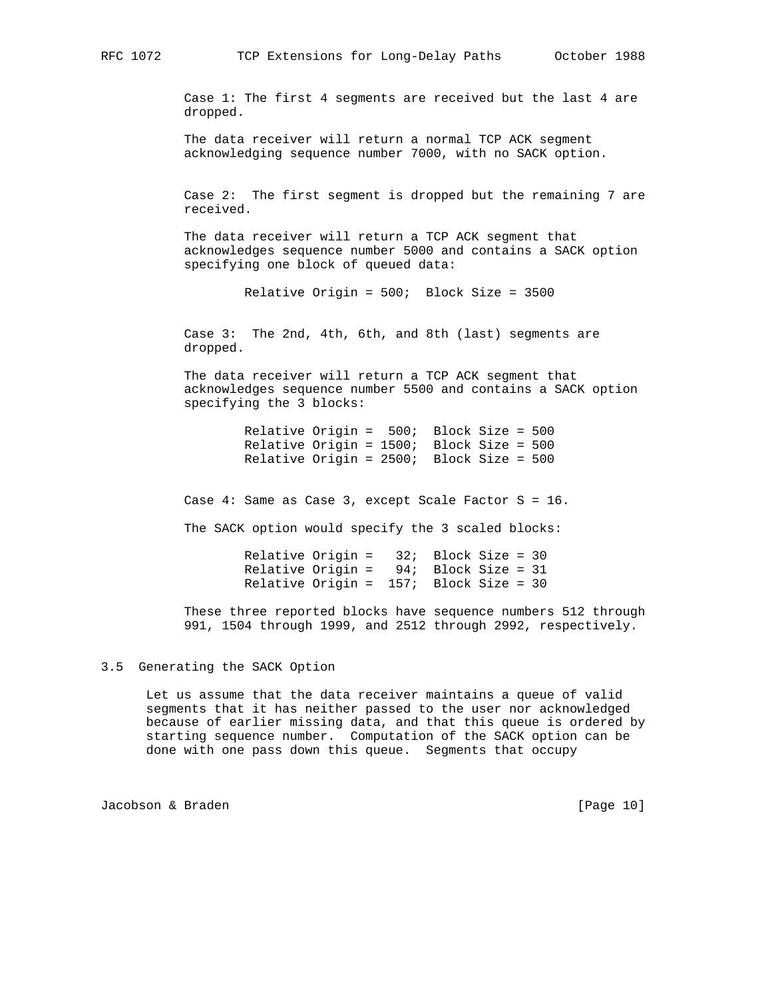Case 1: The first 4 segments are received but the last 4 are dropped.

 The data receiver will return a normal TCP ACK segment acknowledging sequence number 7000, with no SACK option.

 Case 2: The first segment is dropped but the remaining 7 are received.

 The data receiver will return a TCP ACK segment that acknowledges sequence number 5000 and contains a SACK option specifying one block of queued data:

Relative Origin = 500; Block Size = 3500

 Case 3: The 2nd, 4th, 6th, and 8th (last) segments are dropped.

 The data receiver will return a TCP ACK segment that acknowledges sequence number 5500 and contains a SACK option specifying the 3 blocks:

 Relative Origin = 500; Block Size = 500 Relative Origin = 1500; Block Size = 500 Relative Origin = 2500; Block Size = 500

Case 4: Same as Case 3, except Scale Factor S = 16.

The SACK option would specify the 3 scaled blocks:

 Relative Origin = 32; Block Size = 30 Relative Origin = 94; Block Size = 31 Relative Origin = 157; Block Size = 30

 These three reported blocks have sequence numbers 512 through 991, 1504 through 1999, and 2512 through 2992, respectively.

3.5 Generating the SACK Option

 Let us assume that the data receiver maintains a queue of valid segments that it has neither passed to the user nor acknowledged because of earlier missing data, and that this queue is ordered by starting sequence number. Computation of the SACK option can be done with one pass down this queue. Segments that occupy

Jacobson & Braden [Page 10]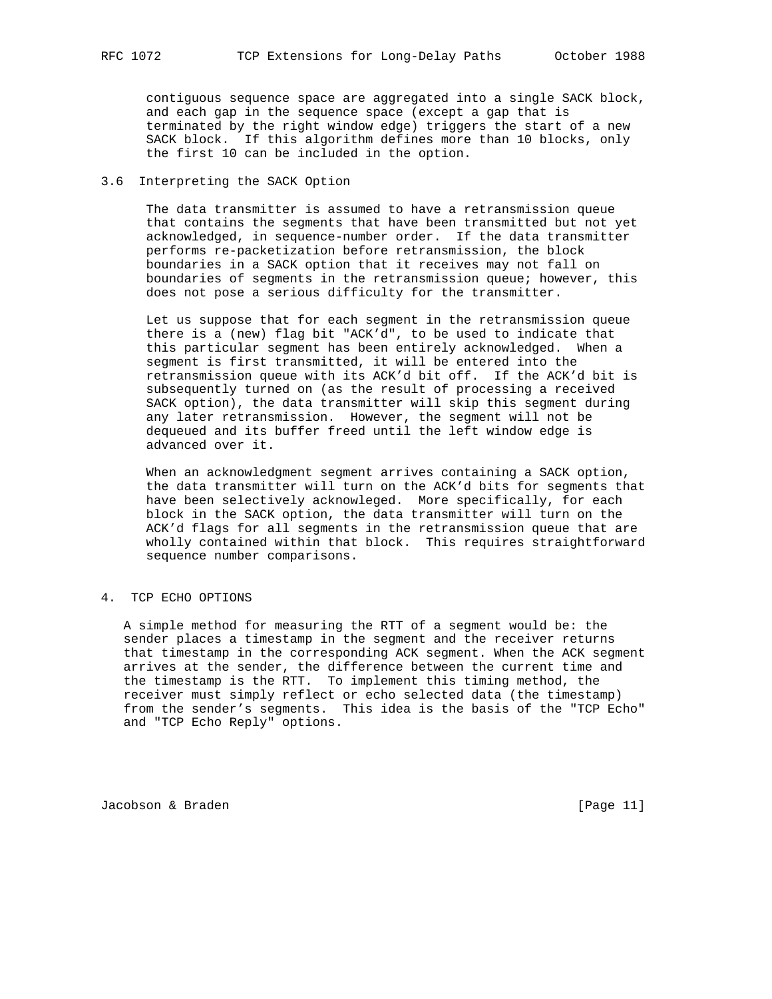contiguous sequence space are aggregated into a single SACK block, and each gap in the sequence space (except a gap that is terminated by the right window edge) triggers the start of a new SACK block. If this algorithm defines more than 10 blocks, only the first 10 can be included in the option.

## 3.6 Interpreting the SACK Option

 The data transmitter is assumed to have a retransmission queue that contains the segments that have been transmitted but not yet acknowledged, in sequence-number order. If the data transmitter performs re-packetization before retransmission, the block boundaries in a SACK option that it receives may not fall on boundaries of segments in the retransmission queue; however, this does not pose a serious difficulty for the transmitter.

 Let us suppose that for each segment in the retransmission queue there is a (new) flag bit "ACK'd", to be used to indicate that this particular segment has been entirely acknowledged. When a segment is first transmitted, it will be entered into the retransmission queue with its ACK'd bit off. If the ACK'd bit is subsequently turned on (as the result of processing a received SACK option), the data transmitter will skip this segment during any later retransmission. However, the segment will not be dequeued and its buffer freed until the left window edge is advanced over it.

 When an acknowledgment segment arrives containing a SACK option, the data transmitter will turn on the ACK'd bits for segments that have been selectively acknowleged. More specifically, for each block in the SACK option, the data transmitter will turn on the ACK'd flags for all segments in the retransmission queue that are wholly contained within that block. This requires straightforward sequence number comparisons.

## 4. TCP ECHO OPTIONS

 A simple method for measuring the RTT of a segment would be: the sender places a timestamp in the segment and the receiver returns that timestamp in the corresponding ACK segment. When the ACK segment arrives at the sender, the difference between the current time and the timestamp is the RTT. To implement this timing method, the receiver must simply reflect or echo selected data (the timestamp) from the sender's segments. This idea is the basis of the "TCP Echo" and "TCP Echo Reply" options.

Jacobson & Braden [Page 11]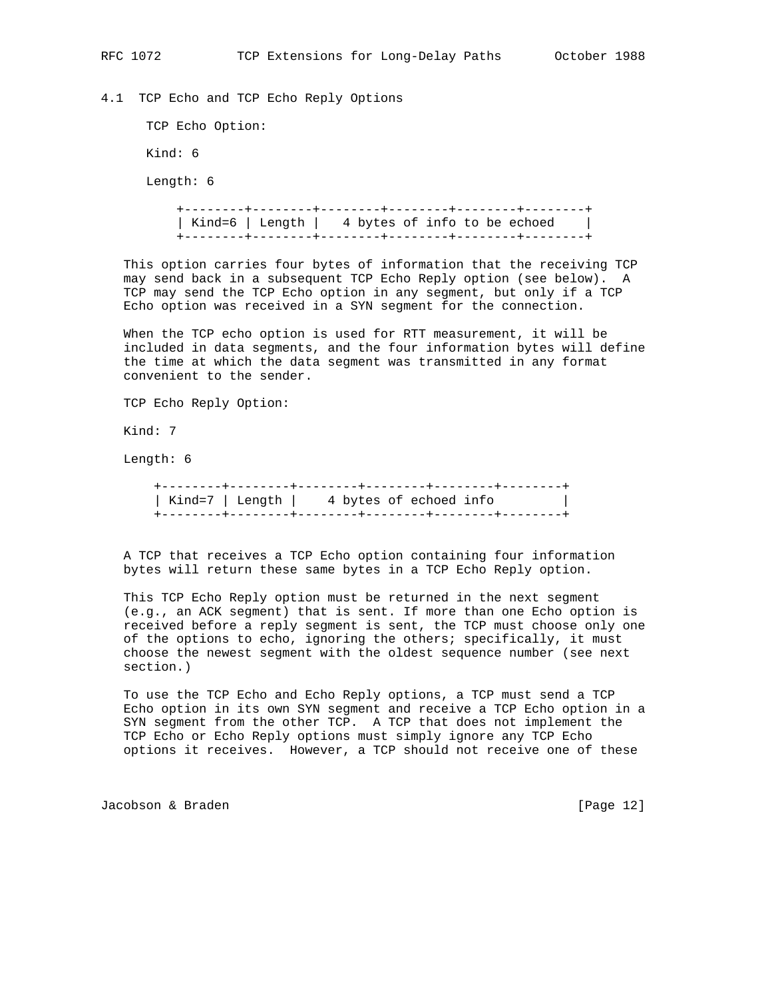4.1 TCP Echo and TCP Echo Reply Options

TCP Echo Option:

Kind: 6

Length: 6

 +--------+--------+--------+--------+--------+--------+ | Kind=6 | Length | 4 bytes of info to be echoed | +--------+--------+--------+--------+--------+--------+

 This option carries four bytes of information that the receiving TCP may send back in a subsequent TCP Echo Reply option (see below). A TCP may send the TCP Echo option in any segment, but only if a TCP Echo option was received in a SYN segment for the connection.

 When the TCP echo option is used for RTT measurement, it will be included in data segments, and the four information bytes will define the time at which the data segment was transmitted in any format convenient to the sender.

TCP Echo Reply Option:

Kind: 7

Length: 6

| Kind=7   Length   4 bytes of echoed info |  |  |
|------------------------------------------|--|--|
|                                          |  |  |

 A TCP that receives a TCP Echo option containing four information bytes will return these same bytes in a TCP Echo Reply option.

 This TCP Echo Reply option must be returned in the next segment (e.g., an ACK segment) that is sent. If more than one Echo option is received before a reply segment is sent, the TCP must choose only one of the options to echo, ignoring the others; specifically, it must choose the newest segment with the oldest sequence number (see next section.)

 To use the TCP Echo and Echo Reply options, a TCP must send a TCP Echo option in its own SYN segment and receive a TCP Echo option in a SYN segment from the other TCP. A TCP that does not implement the TCP Echo or Echo Reply options must simply ignore any TCP Echo options it receives. However, a TCP should not receive one of these

Jacobson & Braden [Page 12]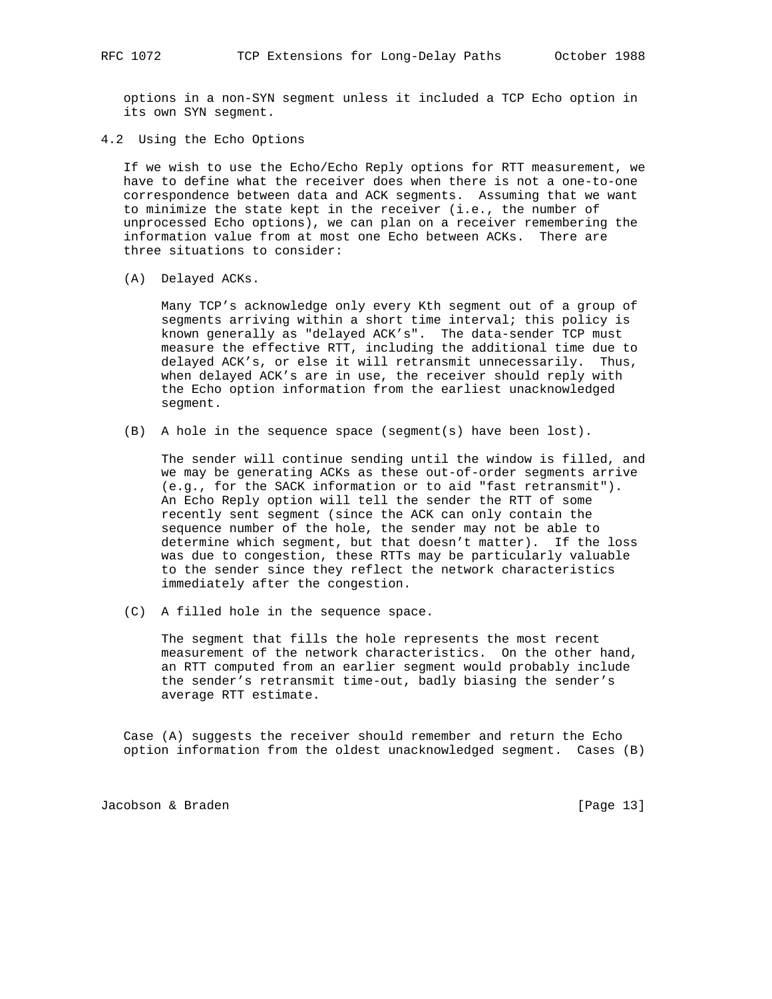options in a non-SYN segment unless it included a TCP Echo option in its own SYN segment.

4.2 Using the Echo Options

 If we wish to use the Echo/Echo Reply options for RTT measurement, we have to define what the receiver does when there is not a one-to-one correspondence between data and ACK segments. Assuming that we want to minimize the state kept in the receiver (i.e., the number of unprocessed Echo options), we can plan on a receiver remembering the information value from at most one Echo between ACKs. There are three situations to consider:

(A) Delayed ACKs.

 Many TCP's acknowledge only every Kth segment out of a group of segments arriving within a short time interval; this policy is known generally as "delayed ACK's". The data-sender TCP must measure the effective RTT, including the additional time due to delayed ACK's, or else it will retransmit unnecessarily. Thus, when delayed ACK's are in use, the receiver should reply with the Echo option information from the earliest unacknowledged segment.

(B) A hole in the sequence space (segment(s) have been lost).

 The sender will continue sending until the window is filled, and we may be generating ACKs as these out-of-order segments arrive (e.g., for the SACK information or to aid "fast retransmit"). An Echo Reply option will tell the sender the RTT of some recently sent segment (since the ACK can only contain the sequence number of the hole, the sender may not be able to determine which segment, but that doesn't matter). If the loss was due to congestion, these RTTs may be particularly valuable to the sender since they reflect the network characteristics immediately after the congestion.

(C) A filled hole in the sequence space.

 The segment that fills the hole represents the most recent measurement of the network characteristics. On the other hand, an RTT computed from an earlier segment would probably include the sender's retransmit time-out, badly biasing the sender's average RTT estimate.

 Case (A) suggests the receiver should remember and return the Echo option information from the oldest unacknowledged segment. Cases (B)

Jacobson & Braden [Page 13]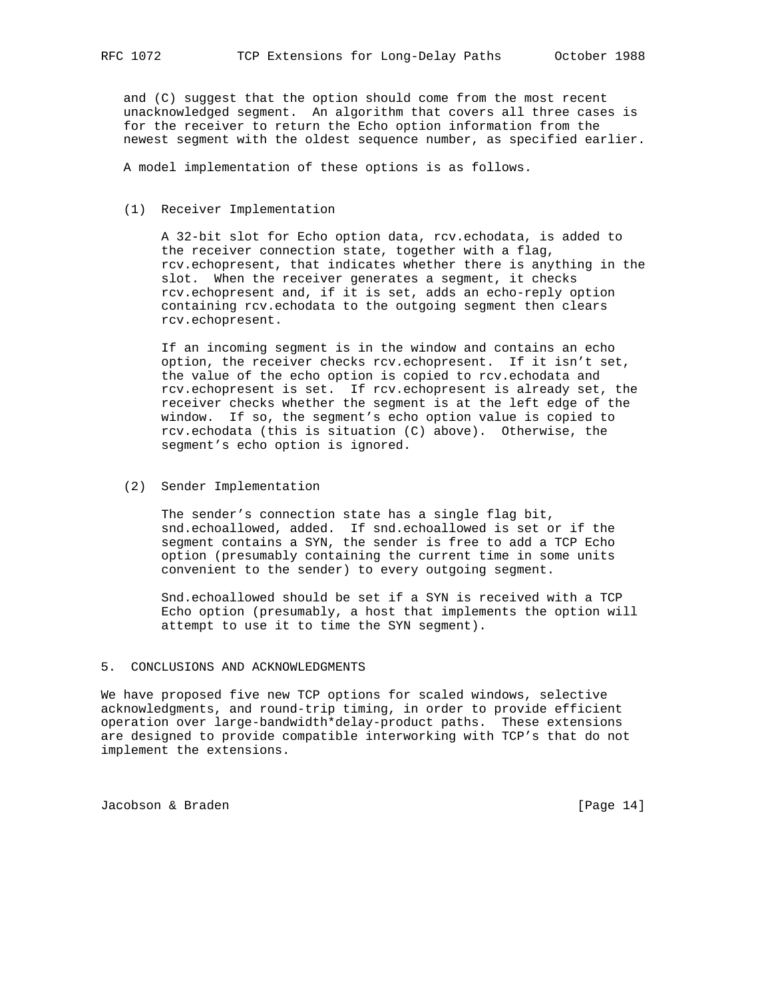and (C) suggest that the option should come from the most recent unacknowledged segment. An algorithm that covers all three cases is for the receiver to return the Echo option information from the newest segment with the oldest sequence number, as specified earlier.

A model implementation of these options is as follows.

(1) Receiver Implementation

 A 32-bit slot for Echo option data, rcv.echodata, is added to the receiver connection state, together with a flag, rcv.echopresent, that indicates whether there is anything in the slot. When the receiver generates a segment, it checks rcv.echopresent and, if it is set, adds an echo-reply option containing rcv.echodata to the outgoing segment then clears rcv.echopresent.

 If an incoming segment is in the window and contains an echo option, the receiver checks rcv.echopresent. If it isn't set, the value of the echo option is copied to rcv.echodata and rcv.echopresent is set. If rcv.echopresent is already set, the receiver checks whether the segment is at the left edge of the window. If so, the segment's echo option value is copied to rcv.echodata (this is situation (C) above). Otherwise, the segment's echo option is ignored.

(2) Sender Implementation

 The sender's connection state has a single flag bit, snd.echoallowed, added. If snd.echoallowed is set or if the segment contains a SYN, the sender is free to add a TCP Echo option (presumably containing the current time in some units convenient to the sender) to every outgoing segment.

 Snd.echoallowed should be set if a SYN is received with a TCP Echo option (presumably, a host that implements the option will attempt to use it to time the SYN segment).

### 5. CONCLUSIONS AND ACKNOWLEDGMENTS

We have proposed five new TCP options for scaled windows, selective acknowledgments, and round-trip timing, in order to provide efficient operation over large-bandwidth\*delay-product paths. These extensions are designed to provide compatible interworking with TCP's that do not implement the extensions.

Jacobson & Braden [Page 14]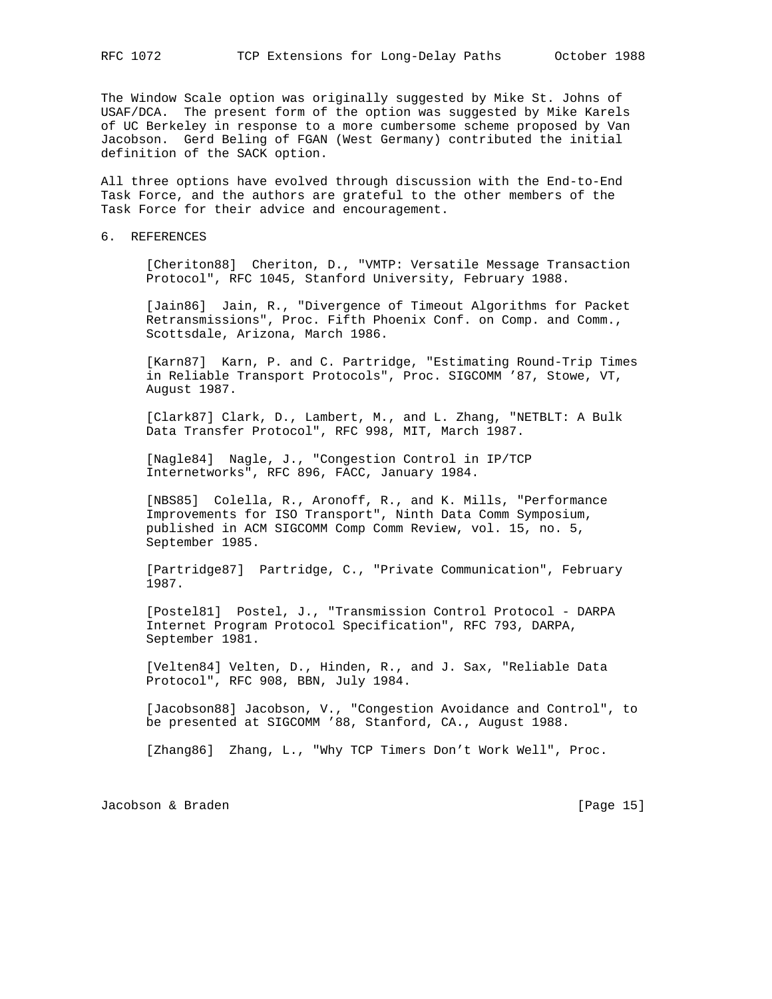The Window Scale option was originally suggested by Mike St. Johns of USAF/DCA. The present form of the option was suggested by Mike Karels of UC Berkeley in response to a more cumbersome scheme proposed by Van Jacobson. Gerd Beling of FGAN (West Germany) contributed the initial definition of the SACK option.

All three options have evolved through discussion with the End-to-End Task Force, and the authors are grateful to the other members of the Task Force for their advice and encouragement.

6. REFERENCES

 [Cheriton88] Cheriton, D., "VMTP: Versatile Message Transaction Protocol", RFC 1045, Stanford University, February 1988.

 [Jain86] Jain, R., "Divergence of Timeout Algorithms for Packet Retransmissions", Proc. Fifth Phoenix Conf. on Comp. and Comm., Scottsdale, Arizona, March 1986.

 [Karn87] Karn, P. and C. Partridge, "Estimating Round-Trip Times in Reliable Transport Protocols", Proc. SIGCOMM '87, Stowe, VT, August 1987.

 [Clark87] Clark, D., Lambert, M., and L. Zhang, "NETBLT: A Bulk Data Transfer Protocol", RFC 998, MIT, March 1987.

 [Nagle84] Nagle, J., "Congestion Control in IP/TCP Internetworks", RFC 896, FACC, January 1984.

 [NBS85] Colella, R., Aronoff, R., and K. Mills, "Performance Improvements for ISO Transport", Ninth Data Comm Symposium, published in ACM SIGCOMM Comp Comm Review, vol. 15, no. 5, September 1985.

 [Partridge87] Partridge, C., "Private Communication", February 1987.

 [Postel81] Postel, J., "Transmission Control Protocol - DARPA Internet Program Protocol Specification", RFC 793, DARPA, September 1981.

 [Velten84] Velten, D., Hinden, R., and J. Sax, "Reliable Data Protocol", RFC 908, BBN, July 1984.

 [Jacobson88] Jacobson, V., "Congestion Avoidance and Control", to be presented at SIGCOMM '88, Stanford, CA., August 1988.

[Zhang86] Zhang, L., "Why TCP Timers Don't Work Well", Proc.

Jacobson & Braden [Page 15]